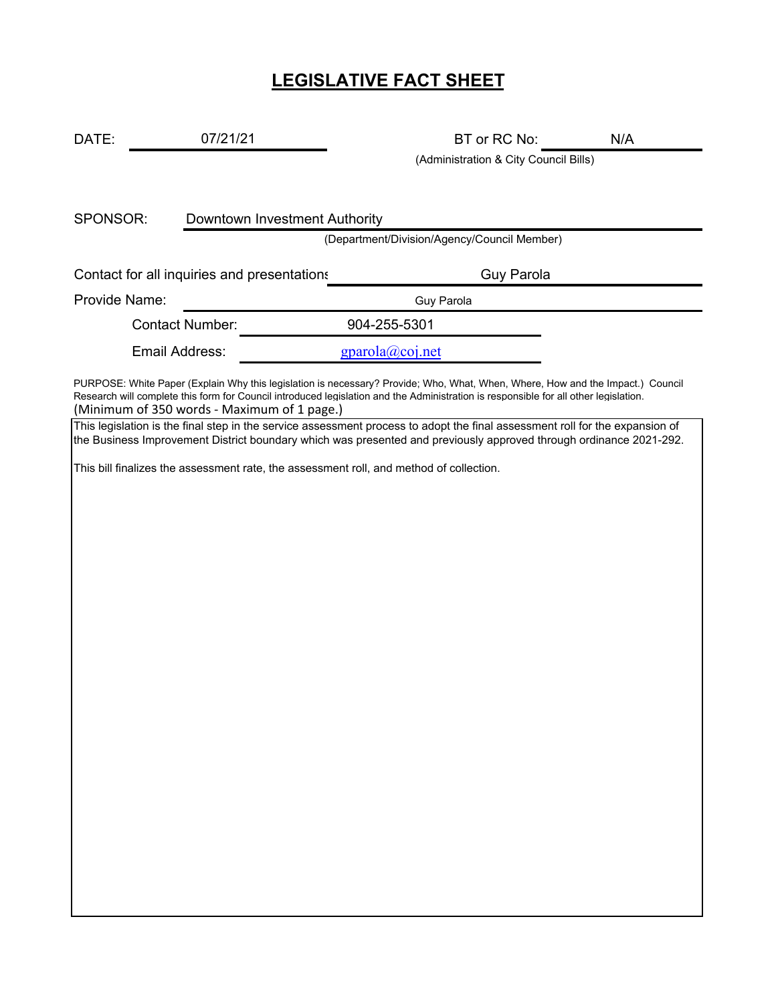# **LEGISLATIVE FACT SHEET**

DATE: 07/21/21 DATE: 07/21/21 DATE: BT or RC No: N/A

(Administration & City Council Bills)

SPONSOR:

Downtown Investment Authority

(Department/Division/Agency/Council Member)

Contact for all inquiries and presentations Guy Parola

Provide Name: Guy Parola

Contact Number: 904-255-5301

Email Address: gparola@coj.net

(Minimum of 350 words ‐ Maximum of 1 page.) PURPOSE: White Paper (Explain Why this legislation is necessary? Provide; Who, What, When, Where, How and the Impact.) Council Research will complete this form for Council introduced legislation and the Administration is responsible for all other legislation.

This legislation is the final step in the service assessment process to adopt the final assessment roll for the expansion of the Business Improvement District boundary which was presented and previously approved through ordinance 2021-292.

This bill finalizes the assessment rate, the assessment roll, and method of collection.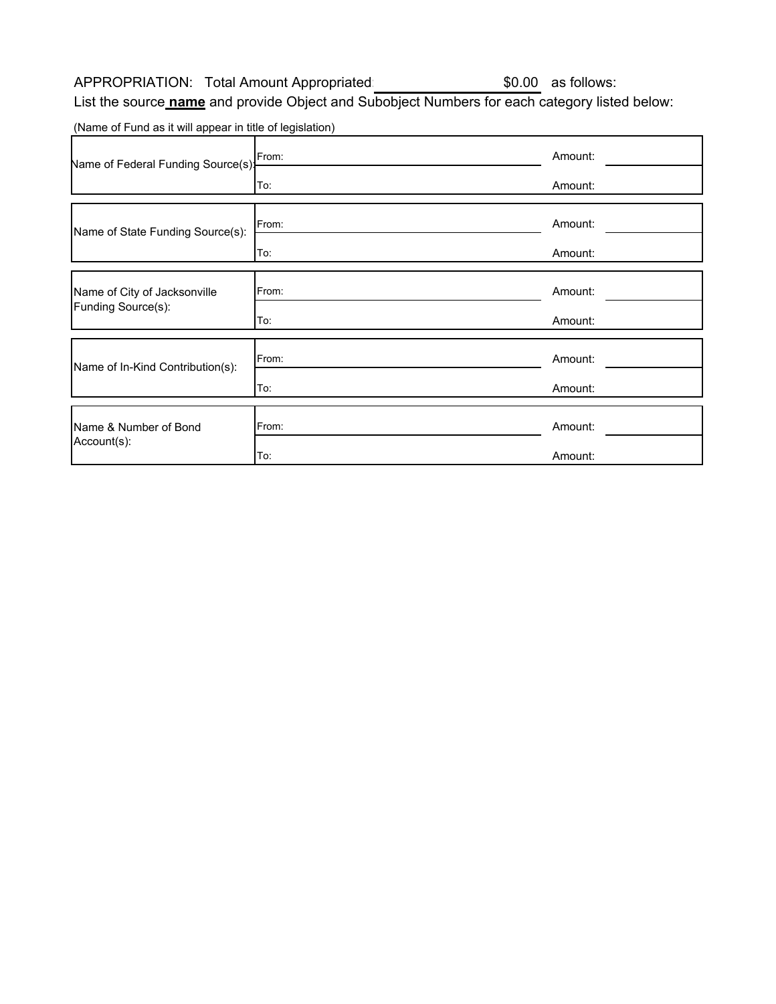# APPROPRIATION: Total Amount Appropriated:

\$0.00 as follows:

List the source **name** and provide Object and Subobject Numbers for each category listed below:

(Name of Fund as it will appear in title of legislation)

| Name of Federal Funding Source(s): | From: | Amount: |
|------------------------------------|-------|---------|
|                                    | To:   | Amount: |
| Name of State Funding Source(s):   | From: | Amount: |
|                                    | To:   | Amount: |
| Name of City of Jacksonville       | From: | Amount: |
| Funding Source(s):                 | To:   | Amount: |
| Name of In-Kind Contribution(s):   | From: | Amount: |
|                                    | To:   | Amount: |
| Name & Number of Bond              | From: | Amount: |
| Account(s):                        | To:   | Amount: |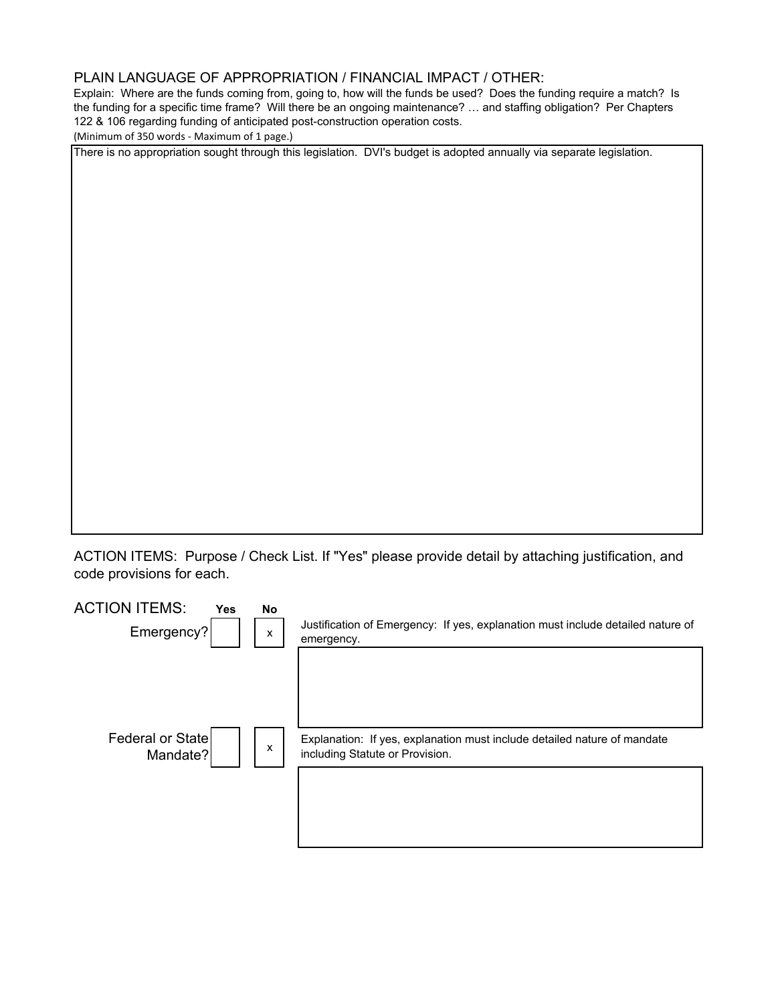## PLAIN LANGUAGE OF APPROPRIATION / FINANCIAL IMPACT / OTHER:

Explain: Where are the funds coming from, going to, how will the funds be used? Does the funding require a match? Is the funding for a specific time frame? Will there be an ongoing maintenance? … and staffing obligation? Per Chapters 122 & 106 regarding funding of anticipated post-construction operation costs.

(Minimum of 350 words ‐ Maximum of 1 page.)

There is no appropriation sought through this legislation. DVI's budget is adopted annually via separate legislation.

ACTION ITEMS: Purpose / Check List. If "Yes" please provide detail by attaching justification, and code provisions for each.

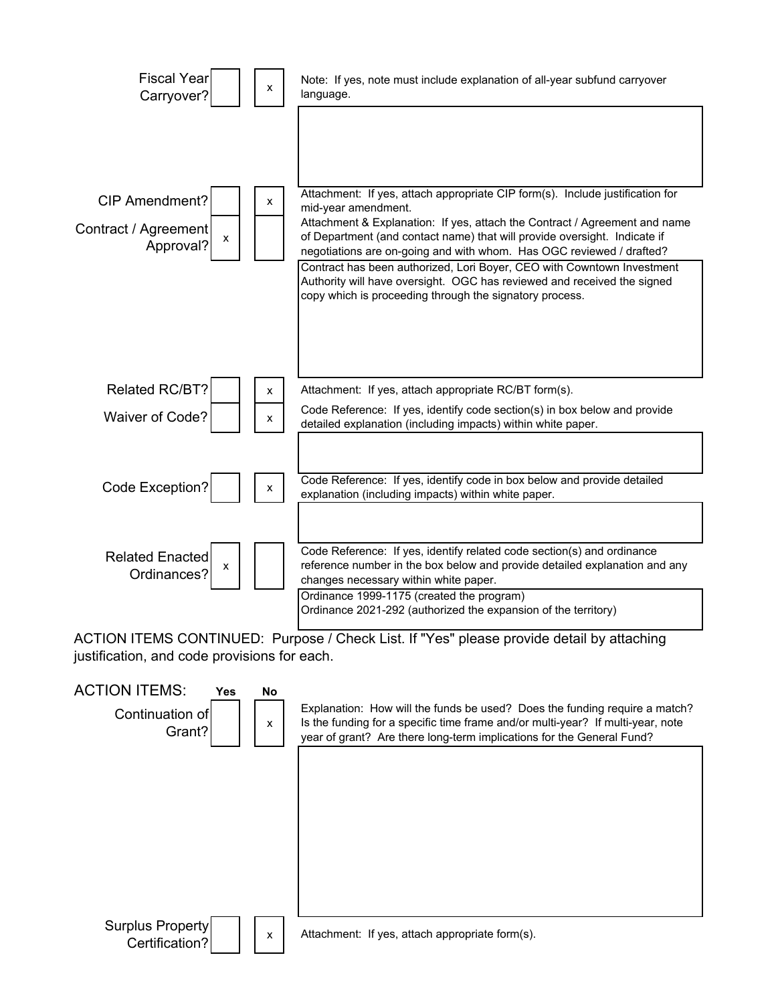

ACTION ITEMS CONTINUED: Purpose / Check List. If "Yes" please provide detail by attaching justification, and code provisions for each.

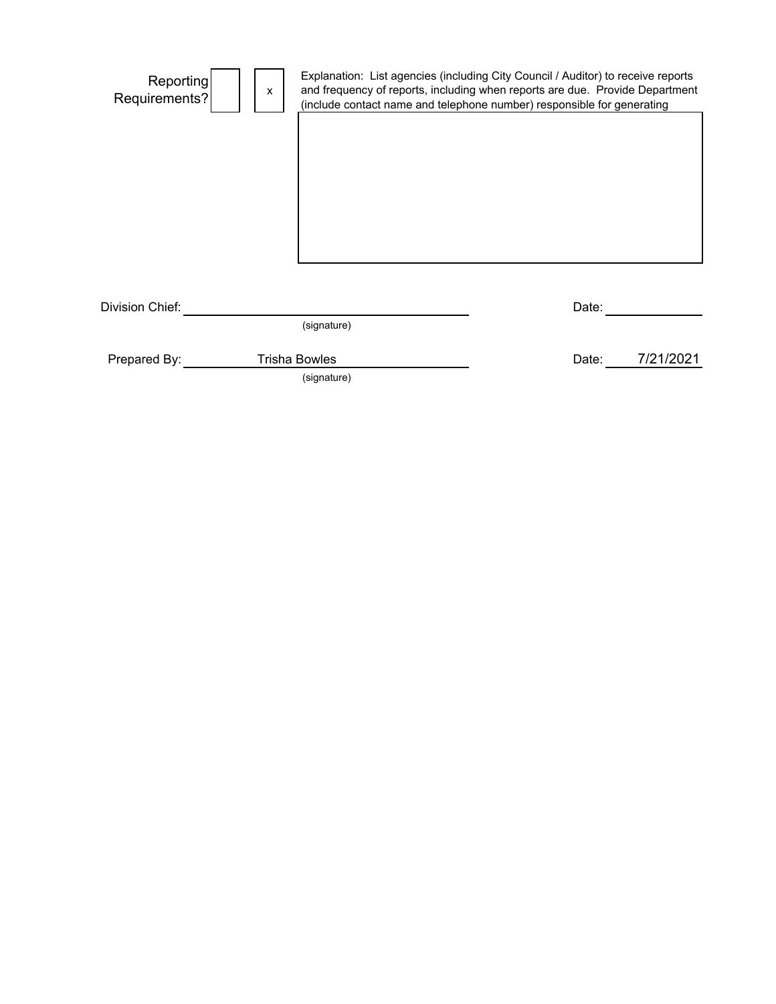| Reporting<br>Requirements? | $\mathsf{x}$ | Explanation: List agencies (including City Council / Auditor) to receive reports<br>and frequency of reports, including when reports are due. Provide Department<br>(include contact name and telephone number) responsible for generating |       |           |
|----------------------------|--------------|--------------------------------------------------------------------------------------------------------------------------------------------------------------------------------------------------------------------------------------------|-------|-----------|
|                            |              |                                                                                                                                                                                                                                            |       |           |
|                            |              |                                                                                                                                                                                                                                            |       |           |
|                            |              |                                                                                                                                                                                                                                            |       |           |
|                            |              |                                                                                                                                                                                                                                            |       |           |
|                            |              |                                                                                                                                                                                                                                            |       |           |
| Division Chief:            |              | (signature)                                                                                                                                                                                                                                | Date: |           |
| Prepared By:               |              | <b>Trisha Bowles</b>                                                                                                                                                                                                                       | Date: | 7/21/2021 |
|                            |              | (signature)                                                                                                                                                                                                                                |       |           |